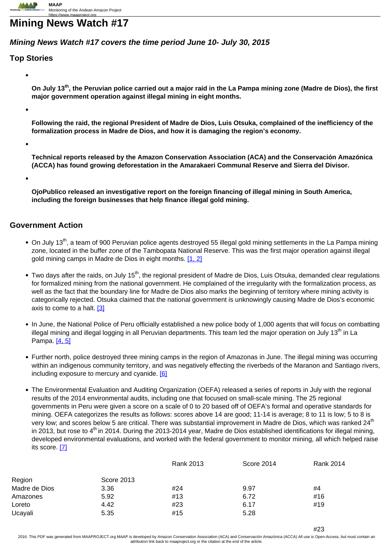# **Mining News Watch #17**

## **Mining News Watch #17 covers the time period June 10- July 30, 2015**

### **Top Stories**

**On July 13th, the Peruvian police carried out a major raid in the La Pampa mining zone (Madre de Dios), the first major government operation against illegal mining in eight months.**

**Following the raid, the regional President of Madre de Dios, Luis Otsuka, complained of the inefficiency of the formalization process in Madre de Dios, and how it is damaging the region's economy.**

**Technical reports released by the Amazon Conservation Association (ACA) and the Conservación Amazónica (ACCA) has found growing deforestation in the Amarakaeri Communal Reserve and Sierra del Divisor.**

**OjoPublico released an investigative report on the foreign financing of illegal mining in South America, including the foreign businesses that help finance illegal gold mining.**

### **Government Action**

- $\bullet$  On July 13<sup>th</sup>, a team of 900 Peruvian police agents destroyed 55 illegal gold mining settlements in the La Pampa mining zone, located in the buffer zone of the Tambopata National Reserve. This was the first major operation against illegal gold mining camps in Madre de Dios in eight months. [\[1,](http://www.larazon.es/sociedad/medio-ambiente/peru-contraataca-contra-la-mineria-ilegal-en-la-amazonia-OE10279117#.Ttt1uKCsd8bVfoY) 2]
- Two days after the raids, on July 15<sup>th</sup>, the regional president of Madre de Dios, Luis Otsuka, demanded clear regulations for formalized mining from the national government. He complained of the irregularity with the formalization process, as well as the fact that the boundary line for Madre de Dios also marks the beginning of territory where mining activity is categorically rejected. Otsuka claimed that the national government is unknowingly causing Madre de Dios's economic axis to come to a halt. [3]
- In June, the National Police of Peru officially established a new police body of 1,000 agents that will focus on combatting illegal mining and illegal logging in all Peruvian departments. This team led the major operation on July 13<sup>th</sup> in La Pampa. [4, 5]
- Further north, police destroyed three mining camps in the region of Amazonas in June. The illegal mining was occurring within an indigenous community territory, and was negatively effecting the riverbeds of the Maranon and Santiago rivers, including exposure to mercury and cyanide. [6]
- The Environmental Evaluation and Auditing Organization (OEFA) released a series of reports in July with the regional results of the 2014 environmental audits, including one that focused on small-scale mining. The 25 regional governments in Peru were given a score on a scale of 0 to 20 based off of OEFA's formal and operative standards for mining. OEFA categorizes the results as follows: scores above 14 are good; 11-14 is average; 8 to 11 is low; 5 to 8 is very low; and scores below 5 are critical. There was substantial improvement in Madre de Dios, which was ranked 24<sup>th</sup> in 2013, but rose to  $4<sup>th</sup>$  in 2014. During the 2013-2014 year, Madre de Dios established identifications for illegal mining, developed environmental evaluations, and worked with the federal government to monitor mining, all which helped raise its score. [7]

|               |            | <b>Rank 2013</b> | Score 2014 | Rank 2014 |
|---------------|------------|------------------|------------|-----------|
| Region        | Score 2013 |                  |            |           |
| Madre de Dios | 3.36       | #24              | 9.97       | #4        |
| Amazones      | 5.92       | #13              | 6.72       | #16       |
| Loreto        | 4.42       | #23              | 6.17       | #19       |
| Ucayali       | 5.35       | #15              | 5.28       |           |
|               |            |                  |            |           |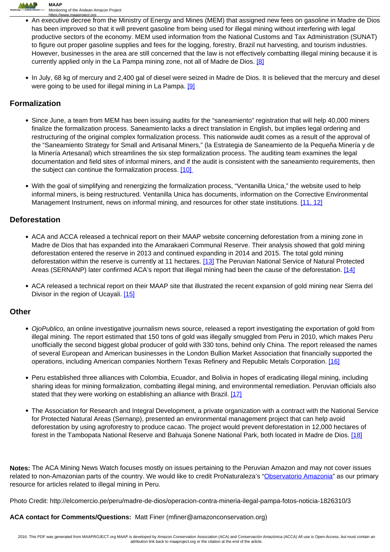

- <u>https://www.maaproject.org</u><br>An executive decree from the Ministry of Energy and Mines (MEM) that assigned new fees on gasoline in Madre de Dios has been improved so that it will prevent gasoline from being used for illegal mining without interfering with legal productive sectors of the economy. MEM used information from the National Customs and Tax Administration (SUNAT) to figure out proper gasoline supplies and fees for the logging, forestry, Brazil nut harvesting, and tourism industries. However, businesses in the area are still concerned that the law is not effectively combatting illegal mining because it is currently applied only in the La Pampa mining zone, not all of Madre de Dios. [8]
- In July, 68 kg of mercury and 2,400 gal of diesel were seized in Madre de Dios. It is believed that the mercury and diesel were going to be used for illegal mining in La Pampa. [9]

# **Formalization**

- Since June, a team from MEM has been issuing audits for the "saneamiento" registration that will help 40,000 miners finalize the formalization process. Saneamiento lacks a direct translation in English, but implies legal ordering and restructuring of the original complex formalization process. This nationwide audit comes as a result of the approval of the "Saneamiento Strategy for Small and Artisanal Miners," (la Estrategia de Saneamiento de la Pequeña Minería y de la Minería Artesanal) which streamlines the six step formalization process. The auditing team examines the legal documentation and field sites of informal miners, and if the audit is consistent with the saneamiento requirements, then the subject can continue the formalization process. [10]
- With the goal of simplifying and renergizing the formalization process, "Ventanilla Unica," the website used to help informal miners, is being restructured. Ventanilla Unica has documents, information on the Corrective Environmental Management Instrument, news on informal mining, and resources for other state institutions. [11, 12]

### **Deforestation**

- ACA and ACCA released a technical report on their MAAP website concerning deforestation from a mining zone in Madre de Dios that has expanded into the Amarakaeri Communal Reserve. Their analysis showed that gold mining deforestation entered the reserve in 2013 and continued expanding in 2014 and 2015. The total gold mining deforestation within the reserve is currently at 11 hectares. [13] The Peruvian National Service of Natural Protected Areas (SERNANP) later confirmed ACA's report that illegal mining had been the cause of the deforestation. [14]
- ACA released a technical report on their MAAP site that illustrated the recent expansion of gold mining near Sierra del Divisor in the region of Ucavali. [15]

### **Other**

- OjoPublico, an online investigative journalism news source, released a report investigating the exportation of gold from illegal mining. The report estimated that 150 tons of gold was illegally smuggled from Peru in 2010, which makes Peru unofficially the second biggest global producer of gold with 330 tons, behind only China. The report released the names of several European and American businesses in the London Bullion Market Association that financially supported the operations, including American companies Northern Texas Refinery and Republic Metals Corporation. [16]
- Peru established three alliances with Colombia, Ecuador, and Bolivia in hopes of eradicating illegal mining, including sharing ideas for mining formalization, combatting illegal mining, and environmental remediation. Peruvian officials also stated that they were working on establishing an alliance with Brazil. [17]
- The Association for Research and Integral Development, a private organization with a contract with the National Service for Protected Natural Areas (Sernanp), presented an environmental management project that can help avoid deforestation by using agroforestry to produce cacao. The project would prevent deforestation in 12,000 hectares of forest in the Tambopata National Reserve and Bahuaja Sonene National Park, both located in Madre de Dios. [18]

**Notes:** The ACA Mining News Watch focuses mostly on issues pertaining to the Peruvian Amazon and may not cover issues related to non-Amazonian parts of the country. We would like to credit ProNaturaleza's "Observatorio Amazonia" as our primary resource for articles related to illegal mining in Peru.

Photo Credit: http://elcomercio.pe/peru/madre-de-dios/operacion-contra-mineria-ilegal-pampa-fotos-noticia-1826310/3

#### **ACA contact for Comments/Questions:** Matt Finer (mfiner@amazonconservation.org)